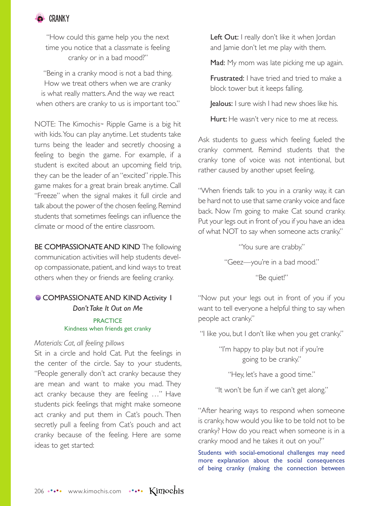

"How could this game help you the next time you notice that a classmate is feeling cranky or in a bad mood?"

"Being in a cranky mood is not a bad thing. How we treat others when we are cranky is what really matters. And the way we react when others are cranky to us is important too."

NOTE: The Kimochis™ Ripple Game is a big hit with kids. You can play anytime. Let students take turns being the leader and secretly choosing a feeling to begin the game. For example, if a student is excited about an upcoming field trip, they can be the leader of an "excited" ripple. This game makes for a great brain break anytime. Call "Freeze" when the signal makes it full circle and talk about the power of the chosen feeling. Remind students that sometimes feelings can influence the climate or mood of the entire classroom.

BE COMPASSIONATE AND KIND The following communication activities will help students develop compassionate, patient, and kind ways to treat others when they or friends are feeling cranky.

## **COMPASSIONATE AND KIND Activity 1** *Don't Take It Out on Me*

### **PRACTICE** Kindness when friends get cranky

### *Materials: Cat, all feeling pillows*

Sit in a circle and hold Cat. Put the feelings in the center of the circle. Say to your students, "People generally don't act cranky because they are mean and want to make you mad. They act cranky because they are feeling …" Have students pick feelings that might make someone act cranky and put them in Cat's pouch. Then secretly pull a feeling from Cat's pouch and act cranky because of the feeling. Here are some ideas to get started:

Left Out: I really don't like it when Jordan and Jamie don't let me play with them.

Mad: My mom was late picking me up again.

Frustrated: I have tried and tried to make a block tower but it keeps falling.

Jealous: I sure wish I had new shoes like his.

Hurt: He wasn't very nice to me at recess.

Ask students to guess which feeling fueled the cranky comment. Remind students that the cranky tone of voice was not intentional, but rather caused by another upset feeling.

"When friends talk to you in a cranky way, it can be hard not to use that same cranky voice and face back. Now I'm going to make Cat sound cranky. Put your legs out in front of you if you have an idea of what NOT to say when someone acts cranky."

"You sure are crabby."

"Geez—you're in a bad mood."

"Be quiet!"

"Now put your legs out in front of you if you want to tell everyone a helpful thing to say when people act cranky."

"I like you, but I don't like when you get cranky."

"I'm happy to play but not if you're going to be cranky."

"Hey, let's have a good time."

"It won't be fun if we can't get along."

"After hearing ways to respond when someone is cranky, how would you like to be told not to be cranky? How do you react when someone is in a cranky mood and he takes it out on you?"

Students with social-emotional challenges may need more explanation about the social consequences of being cranky (making the connection between